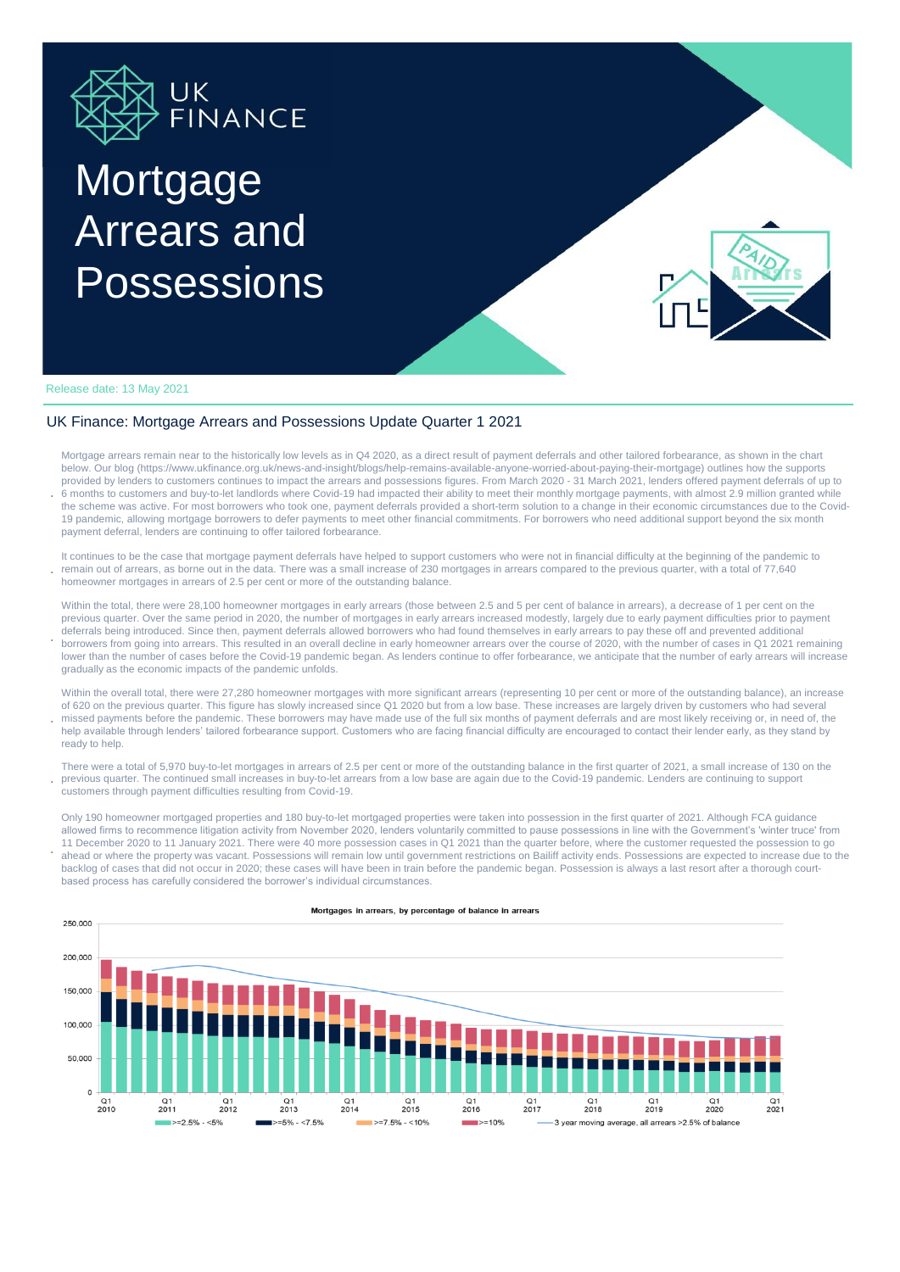

# **Mortgage** Arrears and **Possessions**

payment deferral, lenders are continuing to offer tailored forbearance.



### Release date: 13 May 2021

**.**

## UK Finance: Mortgage Arrears and Possessions Update Quarter 1 2021

**.** Mortgage arrears remain near to the historically low levels as in Q4 2020, as a direct result of payment deferrals and other tailored forbearance, as shown in the chart below. Our blog (https://www.ukfinance.org.uk/news-and-insight/blogs/help-remains-available-anyone-worried-about-paying-their-mortgage) outlines how the supports provided by lenders to customers continues to impact the arrears and possessions figures. From March 2020 - 31 March 2021, lenders offered payment deferrals of up to 6 months to customers and buy-to-let landlords where Covid-19 had impacted their ability to meet their monthly mortgage payments, with almost 2.9 million granted while the scheme was active. For most borrowers who took one, payment deferrals provided a short-term solution to a change in their economic circumstances due to the Covid-19 pandemic, allowing mortgage borrowers to defer payments to meet other financial commitments. For borrowers who need additional support beyond the six month

**.** It continues to be the case that mortgage payment deferrals have helped to support customers who were not in financial difficulty at the beginning of the pandemic to remain out of arrears, as borne out in the data. There was a small increase of 230 mortgages in arrears compared to the previous quarter, with a total of 77,640 homeowner mortgages in arrears of 2.5 per cent or more of the outstanding balance.

**.** Within the total, there were 28,100 homeowner mortgages in early arrears (those between 2.5 and 5 per cent of balance in arrears), a decrease of 1 per cent on the previous quarter. Over the same period in 2020, the number of mortgages in early arrears increased modestly, largely due to early payment difficulties prior to payment deferrals being introduced. Since then, payment deferrals allowed borrowers who had found themselves in early arrears to pay these off and prevented additional borrowers from going into arrears. This resulted in an overall decline in early homeowner arrears over the course of 2020, with the number of cases in Q1 2021 remaining lower than the number of cases before the Covid-19 pandemic began. As lenders continue to offer forbearance, we anticipate that the number of early arrears will increase gradually as the economic impacts of the pandemic unfolds.

Within the overall total, there were 27,280 homeowner mortgages with more significant arrears (representing 10 per cent or more of the outstanding balance), an increase of 620 on the previous quarter. This figure has slowly increased since Q1 2020 but from a low base. These increases are largely driven by customers who had several missed payments before the pandemic. These borrowers may have made use of the full six months of payment deferrals and are most likely receiving or, in need of, the help available through lenders' tailored forbearance support. Customers who are facing financial difficulty are encouraged to contact their lender early, as they stand by ready to help.

**.** There were a total of 5,970 buy-to-let mortgages in arrears of 2.5 per cent or more of the outstanding balance in the first quarter of 2021, a small increase of 130 on the previous quarter. The continued small increases in buy-to-let arrears from a low base are again due to the Covid-19 pandemic. Lenders are continuing to support customers through payment difficulties resulting from Covid-19.

**.** Only 190 homeowner mortgaged properties and 180 buy-to-let mortgaged properties were taken into possession in the first quarter of 2021. Although FCA guidance allowed firms to recommence litigation activity from November 2020, lenders voluntarily committed to pause possessions in line with the Government's 'winter truce' from 11 December 2020 to 11 January 2021. There were 40 more possession cases in Q1 2021 than the quarter before, where the customer requested the possession to go ahead or where the property was vacant. Possessions will remain low until government restrictions on Bailiff activity ends. Possessions are expected to increase due to the backlog of cases that did not occur in 2020; these cases will have been in train before the pandemic began. Possession is always a last resort after a thorough courtbased process has carefully considered the borrower's individual circumstances.



#### Mortgages in arrears, by percentage of balance in arrears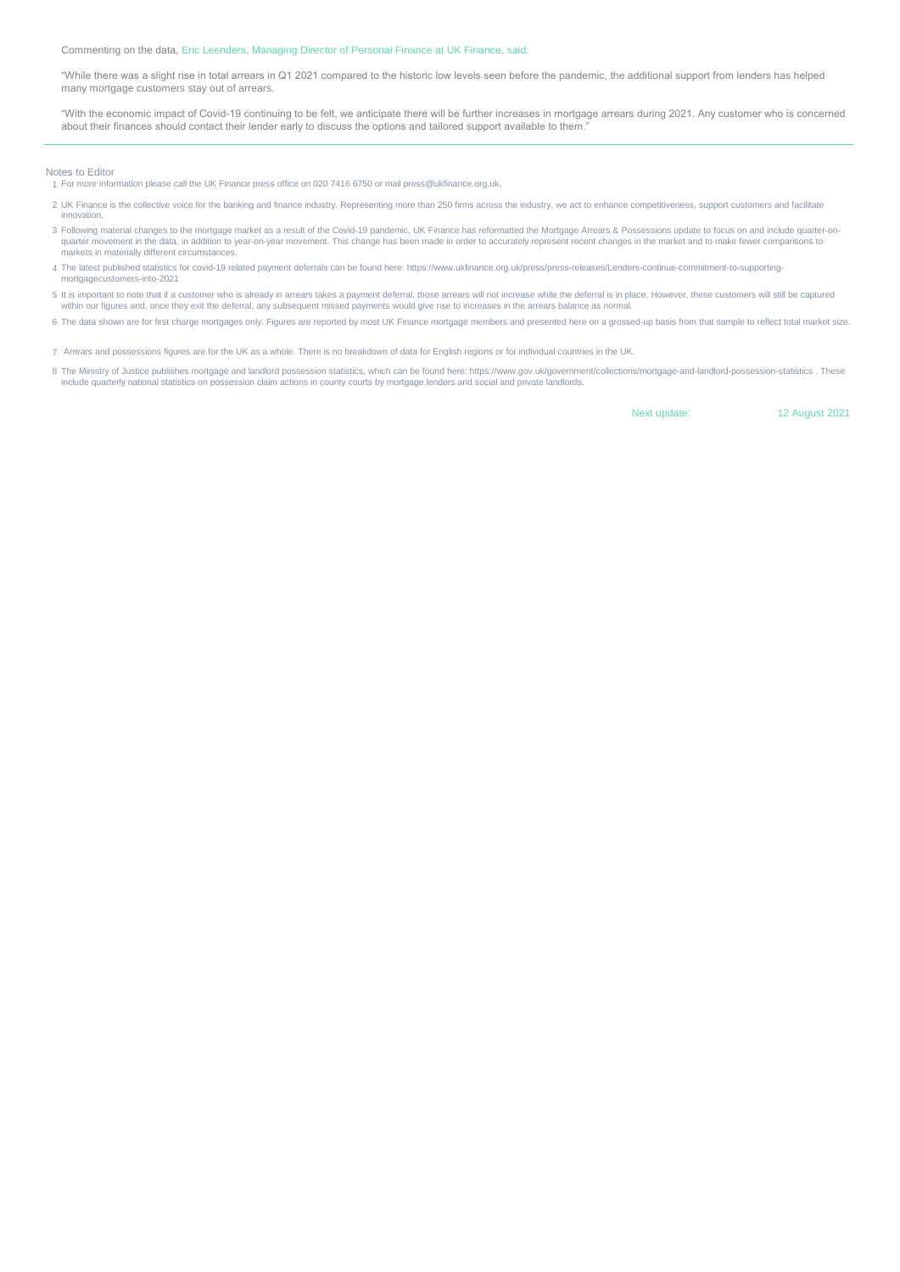Commenting on the data, Eric Leenders, Managing Director of Personal Finance at UK Finance, said:

"While there was a slight rise in total arrears in Q1 2021 compared to the historic low levels seen before the pandemic, the additional support from lenders has helped many mortgage customers stay out of arrears.

"With the economic impact of Covid-19 continuing to be felt, we anticipate there will be further increases in mortgage arrears during 2021. Any customer who is concerned about their finances should contact their lender early to discuss the options and tailored support available to them.

#### Notes to Editor

1 For more information please call the UK Finance press office on 020 7416 6750 or mail press@ukfinance.org.uk.

- 2 UK Finance is the collective voice for the banking and finance industry. Representing more than 250 firms across the industry, we act to enhance competitiveness, support customers and facilitate nnovation.
- 3 Following material changes to the mortgage market as a result of the Covid-19 pandemic, UK Finance has reformatted the Mortgage Arrears & Possessions update to focus on and include quarter-onquarter movement in the data, in addition to year-on-year movement. This change has been made in order to accurately represent recent changes in the market and to make fewer comparisons to quarter movement. This change has markets in materially different circumstances.
- 4 The latest published statistics for covid-19 related payment deferrals can be found here: https://www.ukfinance.org.uk/press/press-releases/Lenders-continue-commitment-to-supportingmortgagecustomers-into-2021
- 5 It is important to note that if a customer who is already in arrears takes a payment deferral, those arrears will not increase while the deferral is in place. However, these customers will still be captured within our figures and, once they exit the deferral, any subsequent missed payments would give rise to increases in the arrears balance as normal.
- 6 The data shown are for first charge mortgages only. Figures are reported by most UK Finance mortgage members and presented here on a grossed-up basis from that sample to reflect total market size.
- 7 Arrears and possessions figures are for the UK as a whole. There is no breakdown of data for English regions or for individual countries in the UK.
- 8 The Ministry of Justice publishes mortgage and landlord possession statistics, which can be found here: https://www.gov.uk/government/collections/mortgage-and-landlord-possession-statistics . These<br>include quarterly nati

Next update: 12 August 2021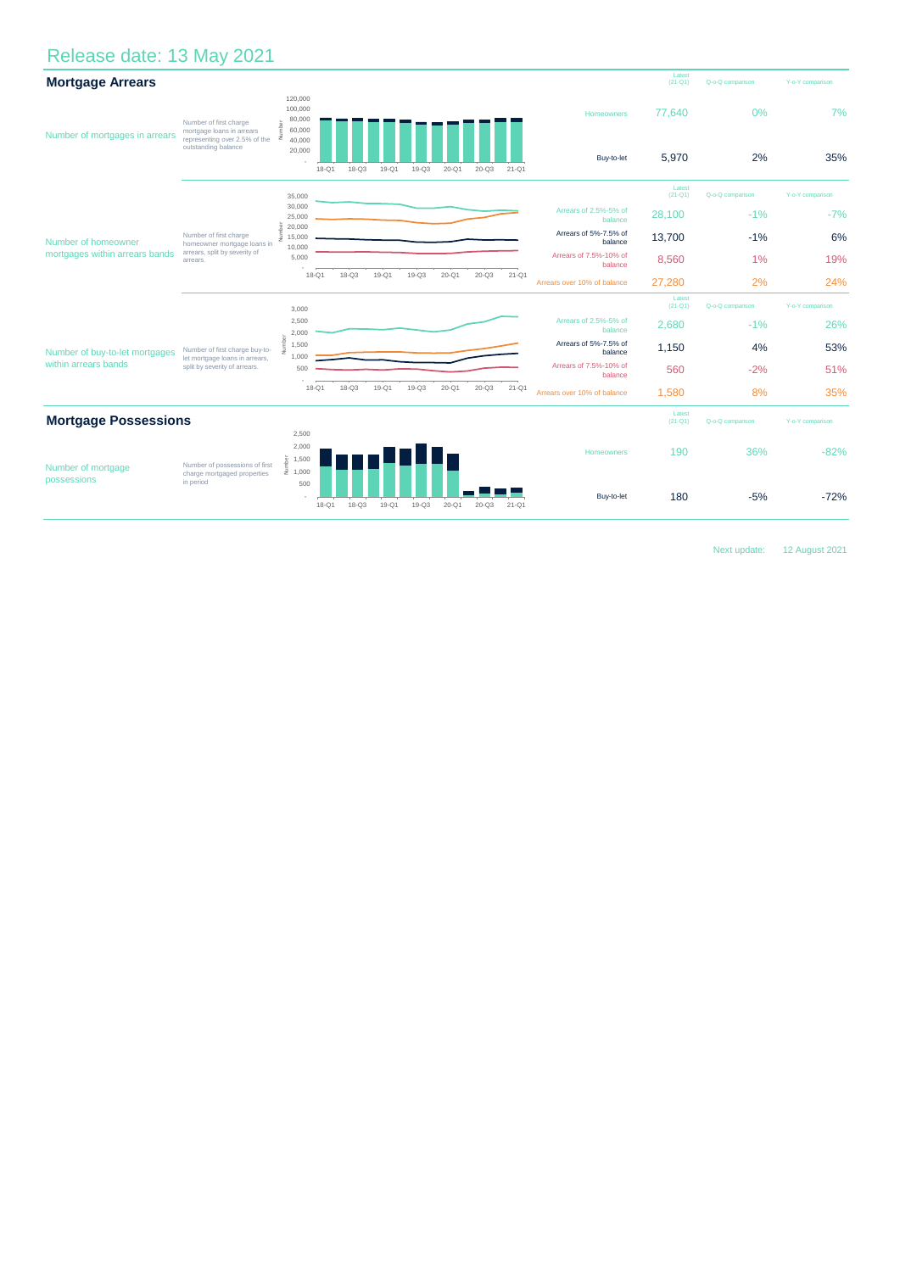# Release date: 13 May 2021

| <b>Mortgage Arrears</b>                                |                                                                                                             |                                                                 |                        |           |           |           |           |           |                                   | Latest<br>$(21-Q1)$   | Q-o-Q comparison | Y-o-Y comparison |
|--------------------------------------------------------|-------------------------------------------------------------------------------------------------------------|-----------------------------------------------------------------|------------------------|-----------|-----------|-----------|-----------|-----------|-----------------------------------|-----------------------|------------------|------------------|
| Number of mortgages in arrears                         | Number of first charge<br>mortgage loans in arrears<br>representing over 2.5% of the<br>outstanding balance | 120,000<br>100,000<br>80,000<br>60,000<br>z<br>40,000<br>20,000 |                        |           |           |           |           |           | Homeowners<br>Buy-to-let          | 77,640                | 0%<br>2%         | 7%               |
|                                                        |                                                                                                             |                                                                 | $18 - Q3$<br>$18 - Q1$ | $19-Q1$   | $19 - Q3$ | $20 - Q1$ | $20 - Q3$ | $21 - Q1$ |                                   | 5,970                 |                  | 35%              |
| Number of homeowner<br>mortgages within arrears bands  | Number of first charge<br>homeowner mortgage loans in<br>arrears, split by severity of<br>arrears.          | 35,000                                                          |                        |           |           |           |           |           |                                   | Latest<br>$(21 - Q1)$ | Q-o-Q comparison | Y-o-Y comparison |
|                                                        |                                                                                                             | 30,000<br>25,000                                                |                        |           |           |           |           |           | Arrears of 2.5%-5% of<br>balance  | 28,100                | $-1%$            | $-7%$            |
|                                                        |                                                                                                             | ğ<br>20,000<br>Ĵ<br>15,000                                      |                        |           |           |           |           |           | Arrears of 5%-7.5% of<br>balance  | 13,700                | $-1%$            | 6%               |
|                                                        |                                                                                                             | 10,000<br>5,000                                                 |                        |           |           |           |           |           | Arrears of 7.5%-10% of<br>balance | 8,560                 | 1%               | 19%              |
|                                                        |                                                                                                             | $18 - Q1$                                                       | $18 - Q3$              | $19-Q1$   | $19-Q3$   | $20 - Q1$ | $20 - Q3$ | $21 - Q1$ | Arrears over 10% of balance       | 27,280                | 2%               | 24%              |
|                                                        |                                                                                                             | 3,000                                                           |                        |           |           |           |           |           |                                   | Latest<br>$(21-Q1)$   | Q-o-Q comparison | Y-o-Y comparison |
| Number of buy-to-let mortgages<br>within arrears bands | Number of first charge buy-to-<br>let mortgage loans in arrears,<br>split by severity of arrears.           | 2,500<br>2,000                                                  |                        |           |           |           |           |           | Arrears of 2.5%-5% of<br>balance  | 2,680                 | $-1%$            | 26%              |
|                                                        |                                                                                                             | e<br>1,500<br>ā<br>1,000                                        |                        |           |           |           |           |           | Arrears of 5%-7.5% of<br>balance  | 1,150                 | 4%               | 53%              |
|                                                        |                                                                                                             | 500                                                             |                        |           |           |           |           |           | Arrears of 7.5%-10% of<br>balance | 560                   | $-2%$            | 51%              |
|                                                        |                                                                                                             | $18 - Q1$                                                       | $18 - Q3$              | 19-Q1     | $19 - Q3$ | $20 - Q1$ | $20 - Q3$ | $21 - Q1$ | Arrears over 10% of balance       | 1,580                 | 8%               | 35%              |
| <b>Mortgage Possessions</b>                            |                                                                                                             |                                                                 |                        |           |           |           |           |           |                                   | Latest<br>$(21-Q1)$   | Q-o-Q comparison | Y-o-Y comparison |
| Number of mortgage<br>possessions                      | Number of possessions of first<br>charge mortgaged properties<br>in period                                  | 2,500<br>2,000<br>$\frac{5}{2}$ 1,500<br>$\frac{1}{2}$ 1,000    |                        |           |           |           |           |           | Homeowners                        | 190                   | 36%              | $-82%$           |
|                                                        |                                                                                                             | 500                                                             | $18 - Q1$<br>$18 - Q3$ | $19 - Q1$ | $19 - Q3$ | $20 - 01$ | $20 - Q3$ | $21 - Q1$ | Buy-to-let                        | 180                   | $-5%$            | $-72%$           |

Next update: 12 August 2021